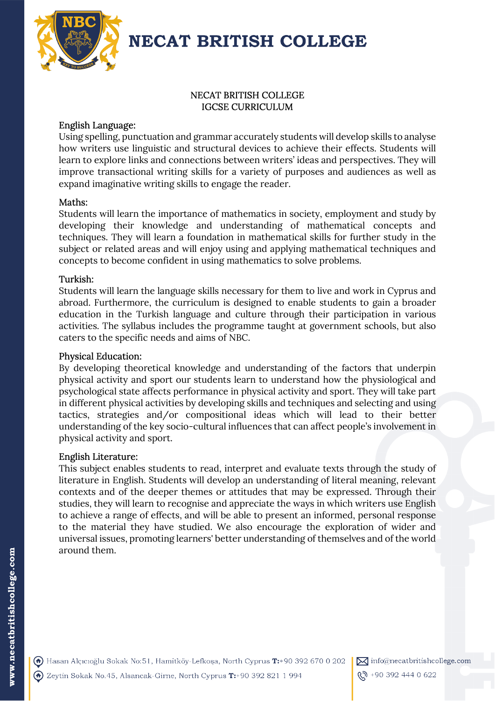

# NECAT BRITISH COLLEGE IGCSE CURRICULUM

# English Language:

Using spelling, punctuation and grammar accurately students will develop skills to analyse how writers use linguistic and structural devices to achieve their effects. Students will learn to explore links and connections between writers' ideas and perspectives. They will improve transactional writing skills for a variety of purposes and audiences as well as expand imaginative writing skills to engage the reader.

## Maths:

Students will learn the importance of mathematics in society, employment and study by developing their knowledge and understanding of mathematical concepts and techniques. They will learn a foundation in mathematical skills for further study in the subject or related areas and will enjoy using and applying mathematical techniques and concepts to become confident in using mathematics to solve problems.

# Turkish:

Students will learn the language skills necessary for them to live and work in Cyprus and abroad. Furthermore, the curriculum is designed to enable students to gain a broader education in the Turkish language and culture through their participation in various activities. The syllabus includes the programme taught at government schools, but also caters to the specific needs and aims of NBC.

## Physical Education:

By developing theoretical knowledge and understanding of the factors that underpin physical activity and sport our students learn to understand how the physiological and psychological state affects performance in physical activity and sport. They will take part in different physical activities by developing skills and techniques and selecting and using tactics, strategies and/or compositional ideas which will lead to their better understanding of the key socio-cultural influences that can affect people's involvement in physical activity and sport.

## English Literature:

This subject enables students to read, interpret and evaluate texts through the study of literature in English. Students will develop an understanding of literal meaning, relevant contexts and of the deeper themes or attitudes that may be expressed. Through their studies, they will learn to recognise and appreciate the ways in which writers use English to achieve a range of effects, and will be able to present an informed, personal response to the material they have studied. We also encourage the exploration of wider and universal issues, promoting learners' better understanding of themselves and of the world around them.

 $\boxtimes$  info@necatbritishcollege.com

<u>(ኢ</u>ን +90 392 444 0 622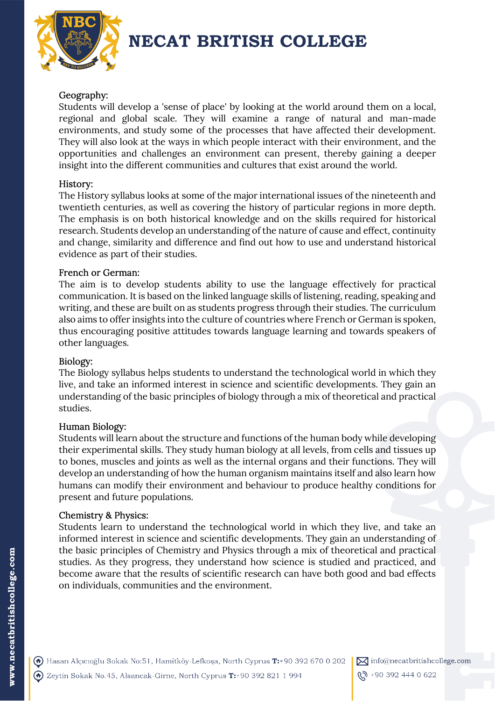

# Geography:

Students will develop a 'sense of place' by looking at the world around them on a local, regional and global scale. They will examine a range of natural and man-made environments, and study some of the processes that have affected their development. They will also look at the ways in which people interact with their environment, and the opportunities and challenges an environment can present, thereby gaining a deeper insight into the different communities and cultures that exist around the world.

### History:

The History syllabus looks at some of the major international issues of the nineteenth and twentieth centuries, as well as covering the history of particular regions in more depth. The emphasis is on both historical knowledge and on the skills required for historical research. Students develop an understanding of the nature of cause and effect, continuity and change, similarity and difference and find out how to use and understand historical evidence as part of their studies.

#### French or German:

The aim is to develop students ability to use the language effectively for practical communication. It is based on the linked language skills of listening, reading, speaking and writing, and these are built on as students progress through their studies. The curriculum also aims to offer insights into the culture of countries where French or German is spoken, thus encouraging positive attitudes towards language learning and towards speakers of other languages.

#### Biology:

The Biology syllabus helps students to understand the technological world in which they live, and take an informed interest in science and scientific developments. They gain an understanding of the basic principles of biology through a mix of theoretical and practical studies.

### Human Biology:

Students will learn about the structure and functions of the human body while developing their experimental skills. They study human biology at all levels, from cells and tissues up to bones, muscles and joints as well as the internal organs and their functions. They will develop an understanding of how the human organism maintains itself and also learn how humans can modify their environment and behaviour to produce healthy conditions for present and future populations.

#### Chemistry & Physics:

Students learn to understand the technological world in which they live, and take an informed interest in science and scientific developments. They gain an understanding of the basic principles of Chemistry and Physics through a mix of theoretical and practical studies. As they progress, they understand how science is studied and practiced, and become aware that the results of scientific research can have both good and bad effects on individuals, communities and the environment.

A Hasan Alçıcıoğlu Sokak No:51, Hamitköy-Lefkoşa, North Cyprus T:+90 392 670 0 202 A Zeytin Sokak No.45, Alsancak-Girne, North Cyprus T:+90 392 821 1 994

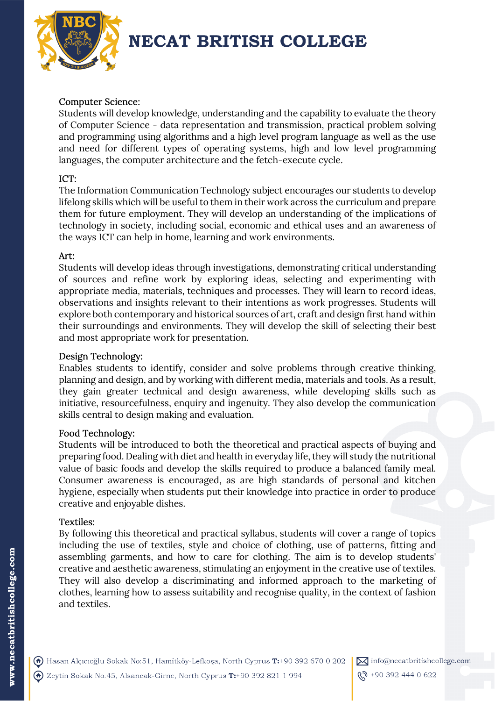

# Computer Science:

Students will develop knowledge, understanding and the capability to evaluate the theory of Computer Science - data representation and transmission, practical problem solving and programming using algorithms and a high level program language as well as the use and need for different types of operating systems, high and low level programming languages, the computer architecture and the fetch-execute cycle.

## ICT:

The Information Communication Technology subject encourages our students to develop lifelong skills which will be useful to them in their work across the curriculum and prepare them for future employment. They will develop an understanding of the implications of technology in society, including social, economic and ethical uses and an awareness of the ways ICT can help in home, learning and work environments.

# Art:

Students will develop ideas through investigations, demonstrating critical understanding of sources and refine work by exploring ideas, selecting and experimenting with appropriate media, materials, techniques and processes. They will learn to record ideas, observations and insights relevant to their intentions as work progresses. Students will explore both contemporary and historical sources of art, craft and design first hand within their surroundings and environments. They will develop the skill of selecting their best and most appropriate work for presentation.

# Design Technology:

Enables students to identify, consider and solve problems through creative thinking, planning and design, and by working with different media, materials and tools. As a result, they gain greater technical and design awareness, while developing skills such as initiative, resourcefulness, enquiry and ingenuity. They also develop the communication skills central to design making and evaluation.

## Food Technology:

Students will be introduced to both the theoretical and practical aspects of buying and preparing food. Dealing with diet and health in everyday life, they will study the nutritional value of basic foods and develop the skills required to produce a balanced family meal. Consumer awareness is encouraged, as are high standards of personal and kitchen hygiene, especially when students put their knowledge into practice in order to produce creative and enjoyable dishes.

# Textiles:

By following this theoretical and practical syllabus, students will cover a range of topics including the use of textiles, style and choice of clothing, use of patterns, fitting and assembling garments, and how to care for clothing. The aim is to develop students' creative and aesthetic awareness, stimulating an enjoyment in the creative use of textiles. They will also develop a discriminating and informed approach to the marketing of clothes, learning how to assess suitability and recognise quality, in the context of fashion and textiles.



 $\boxtimes$  info@necatbritishcollege.com